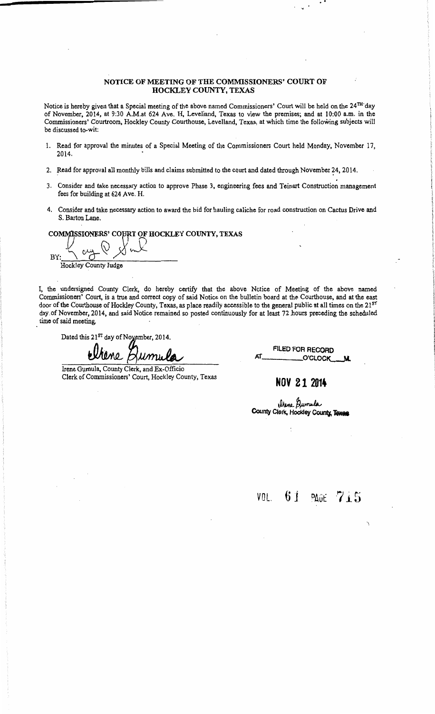#### NOTICE OF MEETING OF THE COMMISSIONERS' COURT OF HOCKLEY COUNTY, TEXAS

Notice is hereby given that a Special meeting of the above named Commissioners' Court will be held on the 24<sup>TH</sup> day of November, 2014, at 9:30 A.M.at 624 Ave. H, Levelland, Texas to view the premises; and at 10:00 a.m. in the Commissioners' Courtroom, Hockley County Courthouse, Levelland, Texas, at which time the following subjects will be discussed to-wit:

- 1. Read for approval the minutes of a Special Meeting of the Commissioners Court held Monday, November 17, 2014.
- 2. Read for approval all monthly bills and claims submitted to the court and dated through November 24, 2014.
- 3. Consider and take necessary action to approve Phase 3, engineering fees and Teinart Construction management fees for building at 624 Ave. H.
- 4. Consider and take necessary action to award the bid for hauling caliche for road construction on Cactus Drive and S. Barton Lane.

COMMISSIONERS' COURT OF HOCKLEY COUNTY, TEXAS

 $B_Y: \frac{1}{\sqrt{2\pi}}\int_0^{\infty} f(x)dx$ Hockley County Judge

I, the undersigned County Clerk, do hereby certify that the above Notice of Meeting of the above named Commissioners' Court, is a true and correct copy of said Notice on the bulletin board at the Courthouse, and at the east door of the Courthouse of Hockley County, Texas, as place readily accessible to the general public at all times on the 21<sup>51</sup> day.of November, 2014, and said Notice remained so posted continuously for at least 72.hours preceding the scheduled time of said meeting.

Dated this 21<sup>ST</sup> day of Noyember, 2014.

Umu

Irene Gumula, County Clerk, and Ex-Officio Clerk of Commissioners' Court, Hockley County, Texas FILED FOR RECORD O'CLOCK

..

### **NOV 21 2014**

Urene Dumula<br>County Clerk, Hockley County, Texas

VOL. 6 j PAGt 7 .i5

-.,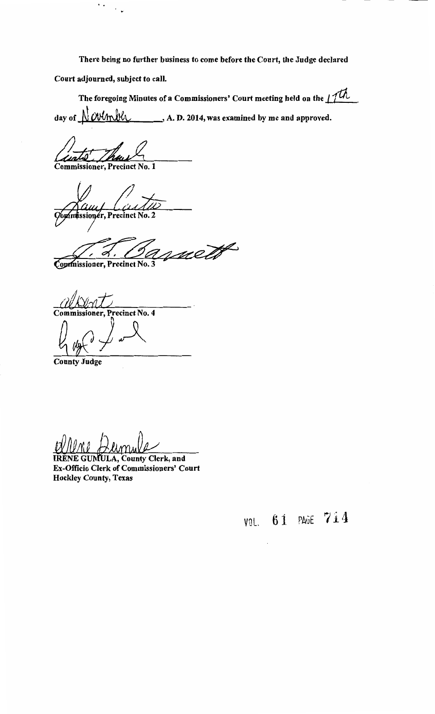There being no further business to come before the Court, the Judge declared

Court adjourned, subject to call.

..

 $\ddot{\phantom{0}}$ 

The foregoing Minutes of a Commissioners' Court meeting held on the  $1/th$ day of  $\bigwedge$   $\bigwedge$   $\bigwedge$   $\bigwedge$   $\bigwedge$   $\bigwedge$   $\bigwedge$   $\bigwedge$   $\bigwedge$   $\bigwedge$   $\bigwedge$   $\bigwedge$   $\bigwedge$   $\bigwedge$   $\bigwedge$   $\bigwedge$   $\bigwedge$   $\bigwedge$   $\bigwedge$   $\bigwedge$   $\bigwedge$   $\bigwedge$   $\bigwedge$   $\bigwedge$   $\bigwedge$   $\bigwedge$   $\bigwedge$   $\bigwedge$   $\bigwedge$   $\bigwedge$   $\bigw$ 

h

Commissioner, Precinct No. 1

Щu Commissioner, Precinct No. 2

mett

Commissioner, Precinct No. 3

Precinct No. 4 Commissioner.

County Judge

IRENE GUMULA, County Clerk, and Ex-Officio Clerk of Commissioners' Court **Hockley County, Texas**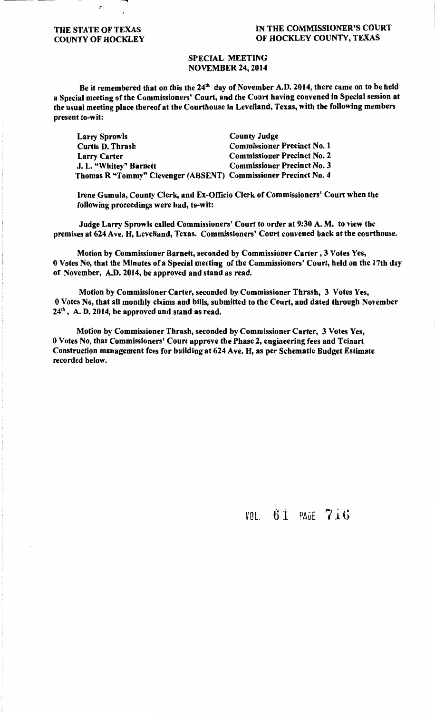#### THE STATE OF TEXAS COUNTY OF HOCKLEY

ŕ

### IN THE COMMISSIONER'S COURT OF HOCKLEY COUNTY, TEXAS

#### SPECIAL MEETING NOVEMBER 24, 2014

Be it remembered that on this the 24<sup>th</sup> day of November A.D. 2014, there came on to be held a Special meeting of the Commissioners' Court, and the Court having convened in Special session at the usual meeting place thereof at the Courthouse in Levelland, Texas, with the following members present to-wit:

| <b>Larry Sprowls</b>                                            | <b>County Judge</b>                |
|-----------------------------------------------------------------|------------------------------------|
| <b>Curtis D. Thrash</b>                                         | <b>Commissioner Precinct No. 1</b> |
| <b>Larry Carter</b>                                             | <b>Commissioner Precinct No. 2</b> |
| J. L. "Whitey" Barnett                                          | <b>Commissioner Precinct No. 3</b> |
| Thomas R "Tommy" Clevenger (ABSENT) Commissioner Precinct No. 4 |                                    |

Irene Gumula, County Clerk, and Ex-Officio Clerk of Commissioners' Court when the following proceedings were had, to-wit:

Judge Larry Sprowls called Commissioners' Court to order at 9:30 A. M. to view the premises at 624 Ave. H, Levelland, Texas. Commissioners' Court convened back at the courthouse.

Motion by Commissioner Barnett, seconded by Commissioner Carter , 3 Votes Yes, 0 Votes No, that the Minutes of a Special meeting of the Commissioners' Court, held on the 17th day of November, A.D. 2014, be approved and stand as read.

Motion by Commissioner Carter, seconded by Commissioner Thrash, 3 Votes Yes, 0 Votes No, that all monthly claims and bills, submitted to the Court, and dated through November  $24<sup>th</sup>$ , A. D. 2014, be approved and stand as read.

Motion by Commissioner Thrash, seconded by Commissioner Carter, 3 Votes Yes, 0 Votes No, that Commissioners' Court approve the Phase 2, engineering fees and Teinart Construction management fees for building at 624 Ave. H, as per Schematic Budget Estimate recorded below.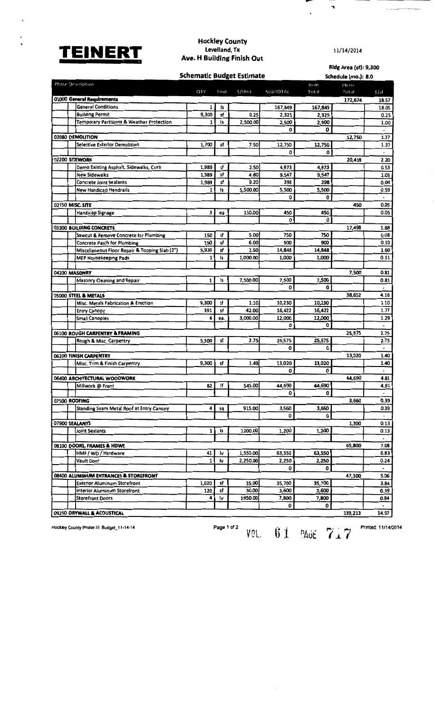

 $\ddot{\phantom{0}}$ 

 $\cdot$ 

 $\ddot{\phantom{0}}$ 

## Hockley County<br>Levelland, Tx Ave. H Building Finish Out

11/14/2014

 $\overline{\phantom{a}}$ 

 $\overline{\phantom{a}}$ 

 $\ddot{\phantom{0}}$ 

| <b>Schematic Budget Estimate</b>                                |            |          |                  |                | Bidg Area (sf): 9,300<br>Schedule (mo.): 8.0 |                          |                          |
|-----------------------------------------------------------------|------------|----------|------------------|----------------|----------------------------------------------|--------------------------|--------------------------|
| Phase Description                                               |            |          |                  |                | Item                                         | Phase                    |                          |
|                                                                 | QTY        | Unit     | $5/$ Unit        | SUBTOTAL       | Total                                        | Total                    | 5/5f                     |
| 01000 General Requirements<br><b>General Conditions</b>         | 1          | ls       |                  | 167,849        | 167,849                                      | 172,674                  | 18.57<br>18.05           |
| <b>Building Permit</b>                                          | 9,300      | sf       | 0.25             | 2,325          | 2,325                                        |                          | 0.25                     |
| Temporary Partitions & Weather Protection                       | 1          | İs       | 2,500.00         | 2,500          | 2,500                                        |                          | 1.00                     |
|                                                                 |            |          |                  | 0              | 0                                            |                          | $\overline{\phantom{a}}$ |
| 02080 DEMOLITION                                                |            |          |                  |                |                                              | 12,750                   | 1.37                     |
| <b>Selective Exterior Demolition</b>                            | 1,700      | sf       | 7.50             | 12,750         | 12,750                                       |                          | 1.37                     |
|                                                                 |            |          |                  | 0              | 0                                            |                          |                          |
| 02200 SITEWORK                                                  |            |          |                  |                |                                              | 20,418                   | 2.20                     |
| Demo Existing Asphalt, Sidewalks, Curb                          | 1,989      | sf       | 2.50             | 4,973          | 4,973                                        |                          | 0.53                     |
| <b>New Sidewalks</b>                                            | 1,989      | sf<br>sf | 4.80<br>0.20     | 9,547<br>398   | 9,547<br>398                                 |                          | 1.03<br>0.04             |
| <b>Concrete Joint Sealants</b><br><b>New Handicap Handrails</b> | 1,989<br>1 | İs       | 5,500.00         | 5,500          | 5,500                                        |                          | 0.59                     |
|                                                                 |            |          |                  | 0              | 0                                            |                          | $\tilde{\phantom{a}}$    |
| 02750 MISC. SITE                                                |            |          |                  |                |                                              | 450                      | 0.05                     |
| <b>Handicap Signage</b>                                         | 3          | ea       | 150.00           | 450            | 450                                          |                          | 0.05                     |
|                                                                 |            |          |                  | 0              | O                                            |                          |                          |
| 03300 BUILDING CONCRETE                                         |            |          |                  |                |                                              | 17,498                   | 1.88                     |
| Sawcut & Remove Concrete for Plumbing                           | 150        | sf       | 5.00             | 750            | 750                                          |                          | 0.08                     |
| <b>Concrete Patch for Plumbing</b>                              | 150        | sf       | 6.00             | 900            | 900                                          |                          | 0.10                     |
| Miscellaneous Floor Repair & Topping Slab (2")                  | 5,939      | sf       | 2.50             | 14,848         | 14,848                                       |                          | 1.60                     |
| <b>MEP Housekeeping Pads</b>                                    | 1          | ١s       | 1,000.00         | 1,000          | 1,000                                        |                          | 0.11                     |
|                                                                 |            |          |                  |                |                                              |                          |                          |
| 04200 MASONRY                                                   |            |          |                  |                |                                              | 7,500                    | 0.81                     |
| Masonry Cleaning and Repair                                     | 1          | ١s       | 7,500.00         | 7,500          | 7,500                                        |                          | 0.81                     |
|                                                                 |            |          |                  | O              | 0                                            |                          | 4.16                     |
| 05000 STEEL & METALS                                            | 9,300      | sf       | 1.10             | 10,230         | 10,230                                       | 38,652                   | 1.10                     |
| Misc. Metals Fabrication & Erection<br><b>Entry Canopy</b>      | 391        | sf       | 42.00            | 16,422         | 16,422                                       |                          | 1.77                     |
| <b>Small Canopies</b>                                           | 4          | ea.      | 3,000.00         | 12,000         | 12,000                                       |                          | 1.29                     |
|                                                                 |            |          |                  | 0              | ٥                                            |                          | $\blacksquare$           |
| 06100 ROUGH CARPENTRY & FRAMING                                 |            |          |                  |                |                                              | 25,575                   | 2.75                     |
| Rough & Misc. Carpentry                                         | 9,300      | sf       | 2.75             | 25,575         | 25,575                                       |                          | 2.75                     |
|                                                                 |            |          |                  | 0              | 0                                            |                          | $\blacksquare$           |
| 06200 FINISH CARPENTRY                                          |            |          |                  |                |                                              | 13,020                   | 1.40                     |
| Misc. Trim & Finish Carpentry                                   | 9,300      | sf       | 1.40             | 13,020         | 13,020                                       |                          | 1.40                     |
|                                                                 |            |          |                  | 0              | 0                                            |                          | $\ddot{\phantom{0}}$     |
| 06400 ARCHITECTURAL WOODWORK                                    |            |          |                  |                |                                              | 44,690                   | 4.81                     |
| Millwork @ Front                                                | 82         | lf       | 545.00           | 44,690         | 44,690                                       |                          | 4.81                     |
|                                                                 |            |          |                  | ٥              | 0                                            |                          | 0.39                     |
| 07500 ROOFING<br>Standing Seam Metal Roof at Entry Canopy       | 4          |          | 915.00           | 3,660          | 3,660                                        | 3,660                    | 0.39                     |
|                                                                 |            | sq       |                  | 0              | 0                                            |                          | $\overline{\phantom{a}}$ |
| 07900 SEALANTS                                                  |            |          |                  |                |                                              | 1,200                    | 0.13                     |
| Joint Sealants                                                  | 1          | ١s       | 1200.00          | 1,200          | 1,200                                        |                          | 0.13                     |
|                                                                 |            |          |                  |                |                                              |                          | $\blacksquare$           |
| 08100 DOORS, FRAMES & HDWE                                      |            |          |                  |                |                                              | 65,800                   | 7.08                     |
| HMF / WD / Hardware                                             | 41         | ł۷       | 1,550.00         | 63,550         | 63,550                                       |                          | 6.83                     |
| Vault Door                                                      | 1          | ١v       | 2,250.00         | 2,250          | 2,250                                        |                          | 0.24                     |
| 0<br>0                                                          |            |          |                  |                |                                              | $\overline{\phantom{a}}$ |                          |
| 08400 ALUMINUM ENTRANCES & STOREFRONT                           |            |          |                  |                |                                              | 47,100                   | 5.06                     |
| <b>Exterior Aluminum Storefront</b>                             | 1,020      | sf       | 35.00            | 35,700         | 35,700                                       |                          | 3.84                     |
| Interior Aluminum Storefront                                    | 120<br>4   | sf       | 30.00<br>1950.00 | 3,600<br>7,800 | 3,600<br>7,800                               |                          | 0.39<br>0.84             |
| <b>Storefront Doors</b>                                         |            | I۷       |                  | 0              | 0                                            |                          | $\blacksquare$           |
| 09250 DRYWALL & ACOUSTICAL                                      |            |          |                  |                |                                              | 139,213                  | 14.97                    |

Hockley County Phase III Budget\_11-14-14

Page 1 of 2 VOL. 61 PAUE 717

 $\bar{\mathcal{A}}$ 

Printed: 11/14/2014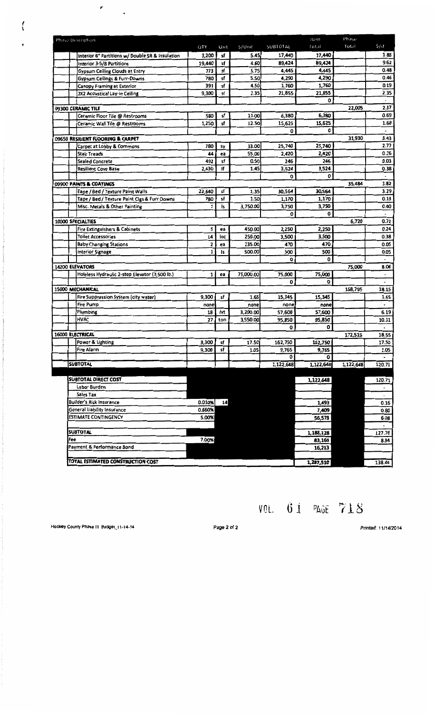| Phase Description                                |            |      |           |           | Item                 | Phase     |                          |
|--------------------------------------------------|------------|------|-----------|-----------|----------------------|-----------|--------------------------|
|                                                  | <b>QTY</b> | Unit | S/Unit    | SUBTOTAL  | 16.10T               | Total     | S/st                     |
| Interior 6" Partitions w/ Double SR & Insulation | 3,200      | sf   | 5.45      | 17,440    | 17,440               |           | 1.88                     |
| Interior 3-5/8 Partitions                        | 19,440     | sf   | 4.60      | 89,424    | 89,424               |           | 9.62                     |
| Gypsum Ceiling Clouds at Entry                   | 773        | sf   | 5.75      | 4,445     | 4,445                |           | 0.48                     |
| <b>Gypsum Ceilings &amp; Furr-Downs</b>          | 780        | sf   | 5.50      | 4,290     | 4,290                |           | 0.46                     |
| <b>Canopy Framing at Exterior</b>                | 391        | sf   | 4.50      | 1,760     | 1,760                |           | 0.19                     |
| 2X2 Acoustical Lay-in Ceiling                    | 9,300      | sf   | 2.35      | 21,855    | 21,855               |           | 2.35                     |
|                                                  |            |      |           |           | 0                    |           | $\overline{\phantom{a}}$ |
| 09300 CERAMIC TILE                               |            |      |           |           |                      | 22,005    | 2.37                     |
| Ceramic Floor Tile @ Restrooms                   | 580        | sf   | 11.00     | 6,380     | 6,380                |           | 0.69                     |
| Ceramic Wall Tile @ Restrooms                    | 1,250      | sf   | 12.50     | 15,625    | 15,625               |           | 1.68                     |
|                                                  |            |      |           | 0         | 0                    |           | $\overline{\phantom{a}}$ |
| 09650 RESILIENT FLOORING & CARPET                |            |      |           |           |                      | 31,930    | 3.43                     |
| Carpet at Lobby & Commons                        | 780        | Sγ   | 33.00     | 25,740    | 25,740               |           | 2.77                     |
| <b>Stair Treads</b>                              | 44         | ea   | 55.00     | 2,420     | 2,420                |           | 0.26                     |
| <b>Sealed Concrete</b>                           | 492        | sf   | 0.50      | 246       | 246                  |           | 0.03                     |
| <b>Resilient Cove Base</b>                       | 2,430      | lf   | 1.45      | 3,524     | 3,524<br>$\mathbf 0$ |           | 0.38                     |
| 09900 PAINTS & COATINGS                          |            |      |           | 0         |                      |           | 3.82                     |
| Tape / Bed / Texture Paint Walls                 | 22.640     | sf   | 1.35      | 30,564    | 30,564               | 35,484    | 3.29                     |
| Tape / Bed / Texture Paint Cigs & Furr Downs     | 780        | sf   | 1.50      | 1,170     | 1,170                |           | 0.13                     |
| Misc. Metals & Other Painting                    | 1          | ls   | 3,750.00  | 3,750     | 3,750                |           | 0.40                     |
|                                                  |            |      |           | 0         | 0                    |           |                          |
| 10000 SPECIALTIES                                |            |      |           |           |                      | 6,720     | 0.72                     |
| Fire Extinguishers & Cabinets                    | 5          | ea   | 450.00    | 2,250     | 2,250                |           | 0.24                     |
| <b>Toilet Accessories</b>                        | 14         | loc  | 250.00    | 3,500     | 3,500                |           | 0.38                     |
| <b>Baby Changing Stations</b>                    | 2          | ea   | 235.00    | 470       | 470                  |           | 0.05                     |
| Interior Signage                                 | 1          | ls   | 500.00    | 500       | 500                  |           | 0.05                     |
|                                                  |            |      |           | 0         | 0                    |           |                          |
| 14200 ELEVATORS                                  |            |      |           |           |                      | 75,000    | 8.06                     |
| Holeless Hydraulic 2-stop Elevator (3,500 lb.)   | 1          | ea   | 75,000.00 | 75,000    | 75,000               |           | $\overline{\phantom{a}}$ |
|                                                  |            |      |           | 0         | o                    |           |                          |
| 15000 MECHANICAL                                 |            |      |           |           |                      | 168,795   | 18.15                    |
| Fire Suppression System (city water)             | 9,300      | sf   | 1.65      | 15,345    | 15,345               |           | 1.65                     |
| <b>Fire Pump</b>                                 | none       |      | none      | none      | none                 |           | $\overline{\phantom{a}}$ |
| Plumbing                                         | 18         | fxt  | 3,200.00  | 57,600    | 57,600               |           | 6.19                     |
| <b>HVAC</b>                                      | 27         | ton  | 3,550.00  | 95,850    | 95,850               |           | 10.31                    |
|                                                  |            |      |           | 0         | 0                    |           | $\bullet$                |
| 16000 ELECTRICAL                                 |            |      |           |           |                      | 172,515   | 18.55                    |
| Power & Lighting                                 | 9,300      | sf   | 17.50     | 162,750   | 162,750              |           | 17.50                    |
| Fire Alarm                                       | 9,300      | sf   | 1.05      | 9,765     | 9,765                |           | 1.05                     |
|                                                  |            |      |           | 0         | 0                    |           |                          |
| <b>SUBTOTAL</b>                                  |            |      |           | 1,122,648 | 1,122,648            | 1,122,648 | 120.71                   |
|                                                  |            |      |           |           |                      |           |                          |
| SUBTOTAL DIRECT COST                             |            |      |           |           | 1,122,648            |           | 120.71                   |
| Labor Burden                                     |            |      |           |           |                      |           |                          |
| Sales Tax                                        |            |      |           |           |                      |           | $\bullet$                |
| <b>Builder's Risk Insurance</b>                  | 0.010%     | 14   |           |           | 1,493                |           | 0.16                     |
| General Liability Insurance                      | 0.660%     |      |           |           | 7,409                |           | 0.80                     |
| <b>ESTIMATE CONTINGENCY</b>                      | 5.00%      |      |           |           | 56,578               |           | 6.08                     |
|                                                  |            |      |           |           |                      |           |                          |
| <b>SUBTOTAL</b>                                  |            |      |           |           | 1,188,128            |           | 127.76                   |
| Fee                                              | 7.00%      |      |           |           | 83,169               |           | 8.94                     |
| Payment & Performance Bond                       |            |      |           |           | 16,213               |           |                          |
|                                                  |            |      |           |           |                      |           |                          |
| TOTAL ESTIMATED CONSTRUCTION COST                |            |      |           |           | 1,287,510            |           | 138.44                   |

VOL. 61 PAGE 718

Hockley County Phase III Budget\_11-14-14

 $\mathcal{L}_{\text{max}}$ 

 $\mathbf{r}$ 

 $\hat{\mathbf{v}}$ 

Page 2 of 2

Printed: 11/14/2014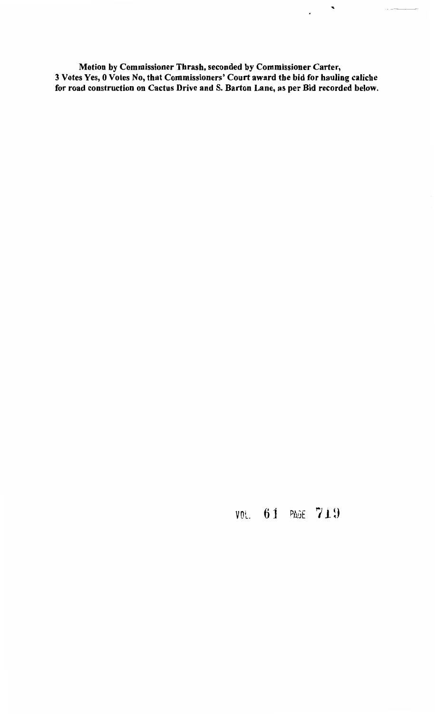Motion by Commissioner Thrash, seconded by Commissioner Carter, 3 Votes Yes, 0 Votes No, that Commissioners' Court award the bid for hauling caliche for road construction on Cactus Drive and S. Barton Lane, as per Bid recorded below.

...

 $\ddot{\phantom{0}}$ 

 $\begin{tabular}{ll} \multicolumn{2}{c} {\textbf{1}} & \multicolumn{2}{c} {\textbf{1}} & \multicolumn{2}{c} {\textbf{1}} \\ \multicolumn{2}{c} {\textbf{1}} & \multicolumn{2}{c} {\textbf{1}} & \multicolumn{2}{c} {\textbf{1}} \\ \multicolumn{2}{c} {\textbf{1}} & \multicolumn{2}{c} {\textbf{1}} & \multicolumn{2}{c} {\textbf{1}} \\ \multicolumn{2}{c} {\textbf{1}} & \multicolumn{2}{c} {\textbf{1}} & \multicolumn{2}{c} {\textbf{1}} \\ \multicolumn{2}{c} {\textbf{1}} & \multicolumn$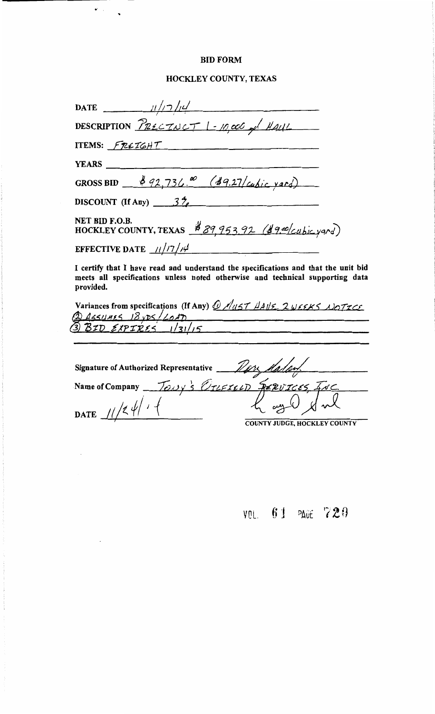### **BID FORM**

 $\mathcal{F}(\mathcal{E})$  .

 $\bar{a}$ 

### HOCKLEY COUNTY, TEXAS

| DATE $11/7/4$                                                                                                                                                                    |  |  |  |  |
|----------------------------------------------------------------------------------------------------------------------------------------------------------------------------------|--|--|--|--|
| DESCRIPTION $P_{\text{R2CIVCT}}$ 1 - 10,000 of HAUL                                                                                                                              |  |  |  |  |
| ITEMS: FREIGHT                                                                                                                                                                   |  |  |  |  |
|                                                                                                                                                                                  |  |  |  |  |
| GROSS BID $\frac{392,736.0}{69.27/\omega}$ (49.27/ $\omega$ bic yard)                                                                                                            |  |  |  |  |
| DISCOUNT (If Any) $3\frac{3}{7}$                                                                                                                                                 |  |  |  |  |
| NET BID F.O.B.<br>HOCKLEY COUNTY, TEXAS \$89,953.92 (\$9.00/cubic yard)                                                                                                          |  |  |  |  |
| EFFECTIVE DATE $11/7/14$                                                                                                                                                         |  |  |  |  |
| I certify that I have read and understand the specifications and that the unit bid<br>meets all specifications unless noted otherwise and technical supporting data<br>provided. |  |  |  |  |
| Variances from specifications (If Any) <u>@ Aust HAVE</u> 2 WEEKS NOTICE<br>@ ASSUMES 18 yDS/LOAD<br>3) BID EXPIRES 1/31/15                                                      |  |  |  |  |
|                                                                                                                                                                                  |  |  |  |  |
| $S_{\text{imatrix}}$ of Authorized Donusontative $\mathcal{D}_{\text{ch}}$ , $\mathcal{D}_{\text{ch}}$                                                                           |  |  |  |  |

| <b>Signature of Authorized Representative</b><br>Malan. |                               |  |  |  |  |
|---------------------------------------------------------|-------------------------------|--|--|--|--|
| Name of Company                                         | TONY'S VILEIELD RERUICES INC. |  |  |  |  |
| <b>DATE</b>                                             | لسمعيه                        |  |  |  |  |
|                                                         | COUNTY JUDGE, HOCKLEY COUNTY  |  |  |  |  |